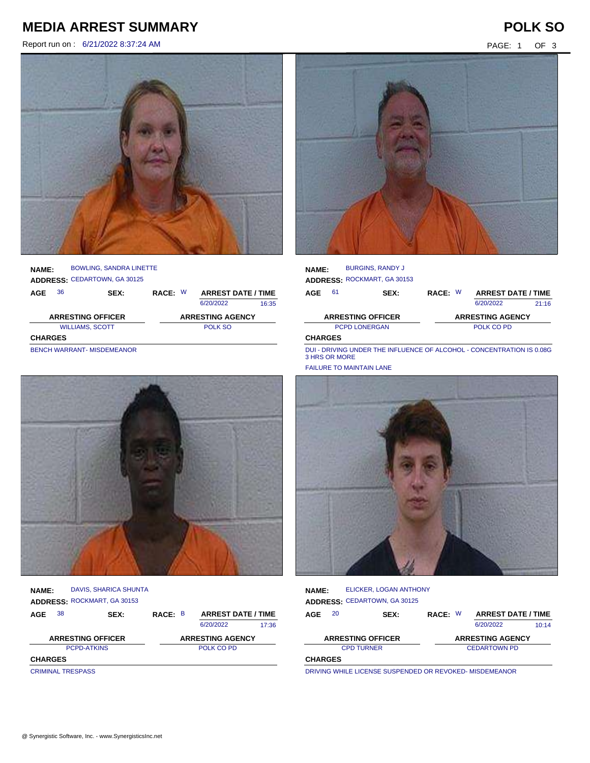## **MEDIA ARREST SUMMARY POLK SO**

Report run on : 6/21/2022 8:37:24 AM PAGE: 1 OF 3



### **NAME: ADDRESS:** CEDARTOWN, GA 30125 BOWLING, SANDRA LINETTE

| AGE                      | 36                                | SEX: | RACE: W |  | <b>ARREST DATE / TIME</b> |       |
|--------------------------|-----------------------------------|------|---------|--|---------------------------|-------|
|                          |                                   |      |         |  | 6/20/2022                 | 16:35 |
| <b>ARRESTING OFFICER</b> |                                   |      |         |  | <b>ARRESTING AGENCY</b>   |       |
|                          | <b>WILLIAMS, SCOTT</b>            |      | POLK SO |  |                           |       |
| <b>CHARGES</b>           |                                   |      |         |  |                           |       |
|                          | <b>BENCH WARRANT- MISDEMEANOR</b> |      |         |  |                           |       |



| <b>NAME:</b>             | DAVIS, SHARICA SHUNTA<br>ADDRESS: ROCKMART, GA 30153 |                         |                           |       |
|--------------------------|------------------------------------------------------|-------------------------|---------------------------|-------|
| 38<br>AGE                | SEX:                                                 | RACE: B                 | <b>ARREST DATE / TIME</b> |       |
|                          |                                                      |                         | 6/20/2022                 | 17:36 |
| <b>ARRESTING OFFICER</b> |                                                      | <b>ARRESTING AGENCY</b> |                           |       |
|                          | <b>PCPD-ATKINS</b>                                   |                         | POLK CO PD                |       |
| <b>CHARGES</b>           |                                                      |                         |                           |       |
| <b>CRIMINAL TRESPASS</b> |                                                      |                         |                           |       |



| <b>NAME:</b>   | <b>BURGINS, RANDY J</b><br>ADDRESS: ROCKMART, GA 30153 |            |  |                           |       |
|----------------|--------------------------------------------------------|------------|--|---------------------------|-------|
| 61<br>AGE      | <b>SEX:</b>                                            | RACE: W    |  | <b>ARREST DATE / TIME</b> |       |
|                |                                                        |            |  | 6/20/2022                 | 21.16 |
|                | <b>ARRESTING OFFICER</b>                               |            |  | <b>ARRESTING AGENCY</b>   |       |
|                | <b>PCPD LONERGAN</b>                                   | POLK CO PD |  |                           |       |
| <b>CHARGES</b> |                                                        |            |  |                           |       |

DUI - DRIVING UNDER THE INFLUENCE OF ALCOHOL - CONCENTRATION IS 0.08G<br>3 HRS OR MORE

FAILURE TO MAINTAIN LANE



| <b>NAME:</b>                                        |    | ELICKER, LOGAN ANTHONY       |         |  |                           |       |
|-----------------------------------------------------|----|------------------------------|---------|--|---------------------------|-------|
|                                                     |    | ADDRESS: CEDARTOWN, GA 30125 |         |  |                           |       |
| AGE                                                 | 20 | SEX:                         | RACE: W |  | <b>ARREST DATE / TIME</b> |       |
|                                                     |    |                              |         |  | 6/20/2022                 | 10:14 |
| <b>ARRESTING OFFICER</b><br><b>ARRESTING AGENCY</b> |    |                              |         |  |                           |       |
| <b>CPD TURNER</b>                                   |    |                              |         |  | <b>CEDARTOWN PD</b>       |       |
| <b>CHARGES</b>                                      |    |                              |         |  |                           |       |
|                                                     |    |                              |         |  |                           |       |

DRIVING WHILE LICENSE SUSPENDED OR REVOKED- MISDEMEANOR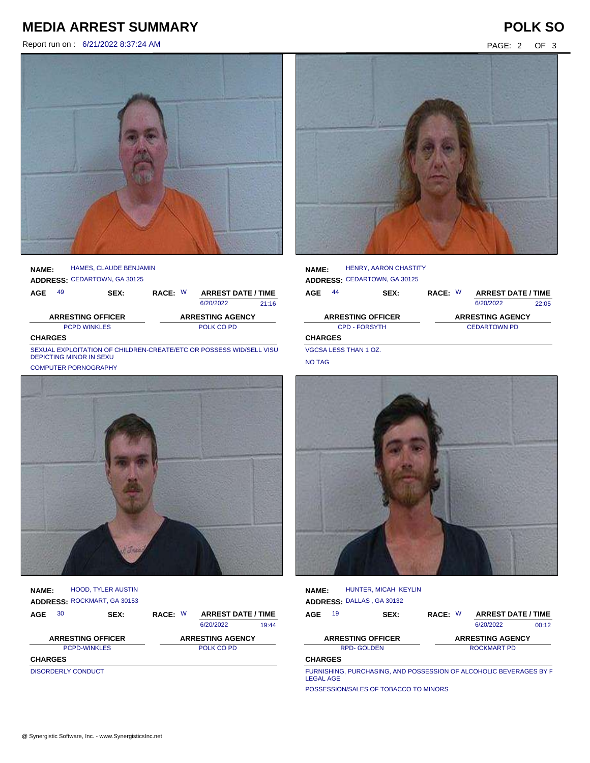## **MEDIA ARREST SUMMARY POLK SO**

Report run on : 6/21/2022 8:37:24 AM PAGE: 2 OF 3



**NAME:** HAMES, CLAUDE BENJAMIN

**ADDRESS:** CEDARTOWN, GA 30125

| AGE            | 49                       | SEX: | RACE: W | <b>ARREST DATE / TIME</b> |       |
|----------------|--------------------------|------|---------|---------------------------|-------|
|                |                          |      |         | 6/20/2022                 | 21.16 |
|                | <b>ARRESTING OFFICER</b> |      |         | <b>ARRESTING AGENCY</b>   |       |
|                | <b>PCPD WINKLES</b>      |      |         | POLK CO PD                |       |
| <b>CHARGES</b> |                          |      |         |                           |       |

SEXUAL EXPLOITATION OF CHILDREN-CREATE/ETC OR POSSESS WID/SELL VISUAL MONTHON OF CHILDREN-CREATE<br>منذ





**AGE NAME: ADDRESS:** ROCKMART, GA 30153 RACE: W HOOD, TYLER AUSTIN 6/20/2022 PCPD-WINKLES POLK CO PD **CHARGES** 19:44 **ARRESTING OFFICER ARRESTING AGENCY** SEX: RACE: W ARREST DATE / TIME DISORDERLY CONDUCT

| <b>NAME:</b>         |    | <b>HENRY, AARON CHASTITY</b><br>ADDRESS: CEDARTOWN, GA 30125 |         |                           |       |
|----------------------|----|--------------------------------------------------------------|---------|---------------------------|-------|
| AGE                  | 44 | SEX:                                                         | RACE: W | <b>ARREST DATE / TIME</b> |       |
|                      |    |                                                              |         | 6/20/2022                 | 22:05 |
|                      |    | <b>ARRESTING OFFICER</b>                                     |         | <b>ARRESTING AGENCY</b>   |       |
| <b>CPD - FORSYTH</b> |    |                                                              |         | <b>CEDARTOWN PD</b>       |       |
| <b>CHARGES</b>       |    |                                                              |         |                           |       |
|                      |    | $1/0.001$ $F(0.07)$ $F(1.11)$ $A(7)$                         |         |                           |       |

VGCSA LESS THAN 1 OZ. NO TAG

| <b>NAME:</b>                                                     | HUNTER, MICAH KEYLIN<br>ADDRESS: DALLAS, GA 30132 |         |                         |                           |       |  |  |
|------------------------------------------------------------------|---------------------------------------------------|---------|-------------------------|---------------------------|-------|--|--|
| 19<br><b>AGE</b>                                                 | SEX:                                              | RACE: W |                         | <b>ARREST DATE / TIME</b> |       |  |  |
|                                                                  |                                                   |         |                         | 6/20/2022                 | 00:12 |  |  |
| <b>ARRESTING OFFICER</b>                                         |                                                   |         | <b>ARRESTING AGENCY</b> |                           |       |  |  |
| <b>RPD-GOLDEN</b><br>ROCKMART PD                                 |                                                   |         |                         |                           |       |  |  |
| <b>CHARGES</b>                                                   |                                                   |         |                         |                           |       |  |  |
| FURNISHING PURCHASING AND POSSESSION OF ALCOHOLIC BEVERAGES BY F |                                                   |         |                         |                           |       |  |  |

CHASING, AND POSSESSION OF ALCOHOLIC BEVERAGES LEGAL AGE

POSSESSION/SALES OF TOBACCO TO MINORS